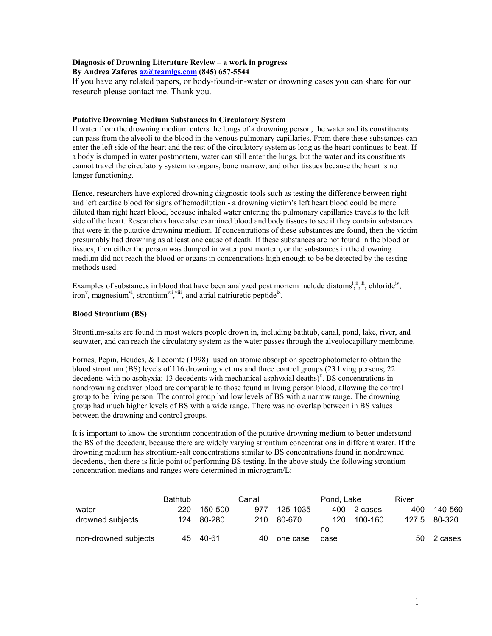# Diagnosis of Drowning Literature Review – a work in progress

#### By Andrea Zaferes az@teamlgs.com (845) 657-5544

If you have any related papers, or body-found-in-water or drowning cases you can share for our research please contact me. Thank you.

#### Putative Drowning Medium Substances in Circulatory System

If water from the drowning medium enters the lungs of a drowning person, the water and its constituents can pass from the alveoli to the blood in the venous pulmonary capillaries. From there these substances can enter the left side of the heart and the rest of the circulatory system as long as the heart continues to beat. If a body is dumped in water postmortem, water can still enter the lungs, but the water and its constituents cannot travel the circulatory system to organs, bone marrow, and other tissues because the heart is no longer functioning.

Hence, researchers have explored drowning diagnostic tools such as testing the difference between right and left cardiac blood for signs of hemodilution - a drowning victim's left heart blood could be more diluted than right heart blood, because inhaled water entering the pulmonary capillaries travels to the left side of the heart. Researchers have also examined blood and body tissues to see if they contain substances that were in the putative drowning medium. If concentrations of these substances are found, then the victim presumably had drowning as at least one cause of death. If these substances are not found in the blood or tissues, then either the person was dumped in water post mortem, or the substances in the drowning medium did not reach the blood or organs in concentrations high enough to be be detected by the testing methods used.

Examples of substances in blood that have been analyzed post mortem include diatoms<sup>i, ii</sup>, chloride<sup>iv</sup>; iron<sup>v</sup>, magnesium<sup>vi</sup>, strontium<sup>vii</sup>, and atrial natriuretic peptide<sup>ix</sup>.

### Blood Strontium (BS)

Strontium-salts are found in most waters people drown in, including bathtub, canal, pond, lake, river, and seawater, and can reach the circulatory system as the water passes through the alveolocapillary membrane.

Fornes, Pepin, Heudes, & Lecomte (1998) used an atomic absorption spectrophotometer to obtain the blood strontium (BS) levels of 116 drowning victims and three control groups (23 living persons; 22 decedents with no asphyxia; 13 decedents with mechanical asphyxial deaths)<sup>x</sup>. BS concentrations in nondrowning cadaver blood are comparable to those found in living person blood, allowing the control group to be living person. The control group had low levels of BS with a narrow range. The drowning group had much higher levels of BS with a wide range. There was no overlap between in BS values between the drowning and control groups.

It is important to know the strontium concentration of the putative drowning medium to better understand the BS of the decedent, because there are widely varying strontium concentrations in different water. If the drowning medium has strontium-salt concentrations similar to BS concentrations found in nondrowned decedents, then there is little point of performing BS testing. In the above study the following strontium concentration medians and ranges were determined in microgram/L:

|                      | <b>Bathtub</b> | Canal    |     | Pond, Lake |      | River   |       |         |
|----------------------|----------------|----------|-----|------------|------|---------|-------|---------|
| water                | 220            | 150-500  | 977 | 125-1035   | 400  | 2 cases | 400   | 140-560 |
| drowned subjects     | 124            | 80-280   | 210 | 80-670     | 120  | 100-160 | 127.5 | 80-320  |
|                      |                |          |     |            | no   |         |       |         |
| non-drowned subjects |                | 45 40-61 | 40  | one case   | case |         | -50   | 2 cases |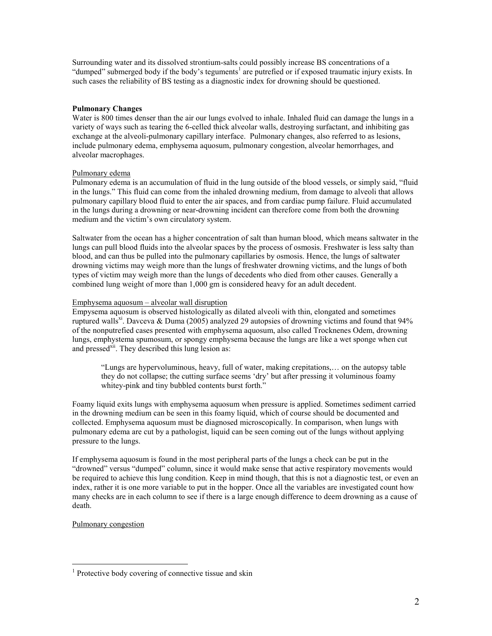Surrounding water and its dissolved strontium-salts could possibly increase BS concentrations of a "dumped" submerged body if the body's teguments<sup>1</sup> are putrefied or if exposed traumatic injury exists. In such cases the reliability of BS testing as a diagnostic index for drowning should be questioned.

# Pulmonary Changes

Water is 800 times denser than the air our lungs evolved to inhale. Inhaled fluid can damage the lungs in a variety of ways such as tearing the 6-celled thick alveolar walls, destroying surfactant, and inhibiting gas exchange at the alveoli-pulmonary capillary interface. Pulmonary changes, also referred to as lesions, include pulmonary edema, emphysema aquosum, pulmonary congestion, alveolar hemorrhages, and alveolar macrophages.

### Pulmonary edema

Pulmonary edema is an accumulation of fluid in the lung outside of the blood vessels, or simply said, "fluid in the lungs." This fluid can come from the inhaled drowning medium, from damage to alveoli that allows pulmonary capillary blood fluid to enter the air spaces, and from cardiac pump failure. Fluid accumulated in the lungs during a drowning or near-drowning incident can therefore come from both the drowning medium and the victim's own circulatory system.

Saltwater from the ocean has a higher concentration of salt than human blood, which means saltwater in the lungs can pull blood fluids into the alveolar spaces by the process of osmosis. Freshwater is less salty than blood, and can thus be pulled into the pulmonary capillaries by osmosis. Hence, the lungs of saltwater drowning victims may weigh more than the lungs of freshwater drowning victims, and the lungs of both types of victim may weigh more than the lungs of decedents who died from other causes. Generally a combined lung weight of more than 1,000 gm is considered heavy for an adult decedent.

### Emphysema aquosum – alveolar wall disruption

Empysema aquosum is observed histologically as dilated alveoli with thin, elongated and sometimes ruptured walls<sup>xi</sup>. Davceva & Duma (2005) analyzed 29 autopsies of drowning victims and found that 94% of the nonputrefied cases presented with emphysema aquosum, also called Trocknenes Odem, drowning lungs, emphystema spumosum, or spongy emphysema because the lungs are like a wet sponge when cut and pressed<sup>xii</sup>. They described this lung lesion as:

"Lungs are hypervoluminous, heavy, full of water, making crepitations,… on the autopsy table they do not collapse; the cutting surface seems 'dry' but after pressing it voluminous foamy whitey-pink and tiny bubbled contents burst forth."

Foamy liquid exits lungs with emphysema aquosum when pressure is applied. Sometimes sediment carried in the drowning medium can be seen in this foamy liquid, which of course should be documented and collected. Emphysema aquosum must be diagnosed microscopically. In comparison, when lungs with pulmonary edema are cut by a pathologist, liquid can be seen coming out of the lungs without applying pressure to the lungs.

If emphysema aquosum is found in the most peripheral parts of the lungs a check can be put in the "drowned" versus "dumped" column, since it would make sense that active respiratory movements would be required to achieve this lung condition. Keep in mind though, that this is not a diagnostic test, or even an index, rather it is one more variable to put in the hopper. Once all the variables are investigated count how many checks are in each column to see if there is a large enough difference to deem drowning as a cause of death.

#### Pulmonary congestion

<u>.</u>

<sup>&</sup>lt;sup>1</sup> Protective body covering of connective tissue and skin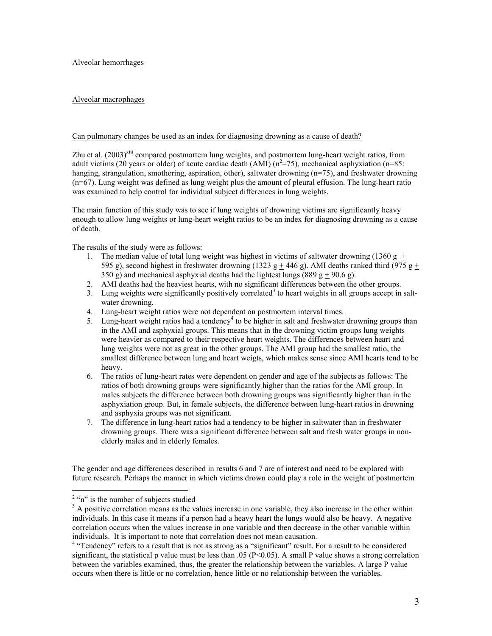Alveolar hemorrhages

# Alveolar macrophages

### Can pulmonary changes be used as an index for diagnosing drowning as a cause of death?

Zhu et al.  $(2003)^{xiii}$  compared postmortem lung weights, and postmortem lung-heart weight ratios, from adult victims (20 years or older) of acute cardiac death (AMI)  $(n^2=75)$ , mechanical asphyxiation (n=85: hanging, strangulation, smothering, aspiration, other), saltwater drowning (n=75), and freshwater drowning (n=67). Lung weight was defined as lung weight plus the amount of pleural effusion. The lung-heart ratio was examined to help control for individual subject differences in lung weights.

The main function of this study was to see if lung weights of drowning victims are significantly heavy enough to allow lung weights or lung-heart weight ratios to be an index for diagnosing drowning as a cause of death.

The results of the study were as follows:

- 1. The median value of total lung weight was highest in victims of saltwater drowning (1360 g + 595 g), second highest in freshwater drowning (1323 g  $\pm$  446 g). AMI deaths ranked third (975 g  $\pm$ 350 g) and mechanical asphyxial deaths had the lightest lungs (889 g + 90.6 g).
- 2. AMI deaths had the heaviest hearts, with no significant differences between the other groups.
- 3. Lung weights were significantly positively correlated<sup>3</sup> to heart weights in all groups accept in saltwater drowning.
- 4. Lung-heart weight ratios were not dependent on postmortem interval times.
- 5. Lung-heart weight ratios had a tendency<sup>4</sup> to be higher in salt and freshwater drowning groups than in the AMI and asphyxial groups. This means that in the drowning victim groups lung weights were heavier as compared to their respective heart weights. The differences between heart and lung weights were not as great in the other groups. The AMI group had the smallest ratio, the smallest difference between lung and heart weigts, which makes sense since AMI hearts tend to be heavy.
- 6. The ratios of lung-heart rates were dependent on gender and age of the subjects as follows: The ratios of both drowning groups were significantly higher than the ratios for the AMI group. In males subjects the difference between both drowning groups was significantly higher than in the asphyxiation group. But, in female subjects, the difference between lung-heart ratios in drowning and asphyxia groups was not significant.
- 7. The difference in lung-heart ratios had a tendency to be higher in saltwater than in freshwater drowning groups. There was a significant difference between salt and fresh water groups in nonelderly males and in elderly females.

The gender and age differences described in results 6 and 7 are of interest and need to be explored with future research. Perhaps the manner in which victims drown could play a role in the weight of postmortem

<sup>&</sup>lt;sup>2</sup> "n" is the number of subjects studied

<sup>&</sup>lt;sup>3</sup> A positive correlation means as the values increase in one variable, they also increase in the other within individuals. In this case it means if a person had a heavy heart the lungs would also be heavy. A negative correlation occurs when the values increase in one variable and then decrease in the other variable within individuals. It is important to note that correlation does not mean causation.

<sup>&</sup>lt;sup>4</sup> "Tendency" refers to a result that is not as strong as a "significant" result. For a result to be considered significant, the statistical p value must be less than .05 ( $P<0.05$ ). A small P value shows a strong correlation between the variables examined, thus, the greater the relationship between the variables. A large P value occurs when there is little or no correlation, hence little or no relationship between the variables.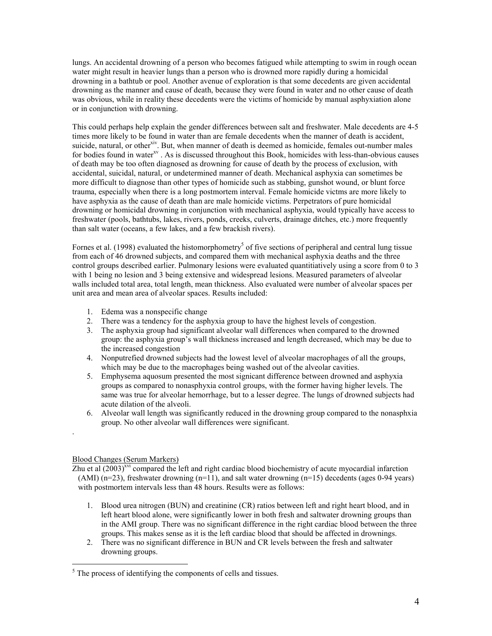lungs. An accidental drowning of a person who becomes fatigued while attempting to swim in rough ocean water might result in heavier lungs than a person who is drowned more rapidly during a homicidal drowning in a bathtub or pool. Another avenue of exploration is that some decedents are given accidental drowning as the manner and cause of death, because they were found in water and no other cause of death was obvious, while in reality these decedents were the victims of homicide by manual asphyxiation alone or in conjunction with drowning.

This could perhaps help explain the gender differences between salt and freshwater. Male decedents are 4-5 times more likely to be found in water than are female decedents when the manner of death is accident, suicide, natural, or other<sup>xiv</sup>. But, when manner of death is deemed as homicide, females out-number males for bodies found in water<sup>xv</sup>. As is discussed throughout this Book, homicides with less-than-obvious causes of death may be too often diagnosed as drowning for cause of death by the process of exclusion, with accidental, suicidal, natural, or undetermined manner of death. Mechanical asphyxia can sometimes be more difficult to diagnose than other types of homicide such as stabbing, gunshot wound, or blunt force trauma, especially when there is a long postmortem interval. Female homicide victms are more likely to have asphyxia as the cause of death than are male homicide victims. Perpetrators of pure homicidal drowning or homicidal drowning in conjunction with mechanical asphyxia, would typically have access to freshwater (pools, bathtubs, lakes, rivers, ponds, creeks, culverts, drainage ditches, etc.) more frequently than salt water (oceans, a few lakes, and a few brackish rivers).

Fornes et al. (1998) evaluated the histomorphometry<sup>5</sup> of five sections of peripheral and central lung tissue from each of 46 drowned subjects, and compared them with mechanical asphyxia deaths and the three control groups described earlier. Pulmonary lesions were evaluated quantitiatively using a score from 0 to 3 with 1 being no lesion and 3 being extensive and widespread lesions. Measured parameters of alveolar walls included total area, total length, mean thickness. Also evaluated were number of alveolar spaces per unit area and mean area of alveolar spaces. Results included:

- 1. Edema was a nonspecific change
- 2. There was a tendency for the asphyxia group to have the highest levels of congestion.
- 3. The asphyxia group had significant alveolar wall differences when compared to the drowned group: the asphyxia group's wall thickness increased and length decreased, which may be due to the increased congestion
- 4. Nonputrefied drowned subjects had the lowest level of alveolar macrophages of all the groups, which may be due to the macrophages being washed out of the alveolar cavities.
- 5. Emphysema aquosum presented the most signicant difference between drowned and asphyxia groups as compared to nonasphyxia control groups, with the former having higher levels. The same was true for alveolar hemorrhage, but to a lesser degree. The lungs of drowned subjects had acute dilation of the alveoli.
- 6. Alveolar wall length was significantly reduced in the drowning group compared to the nonasphxia group. No other alveolar wall differences were significant.

# Blood Changes (Serum Markers)

.

<u>.</u>

Zhu et al  $(2003)^{xvi}$  compared the left and right cardiac blood biochemistry of acute myocardial infarction (AMI)  $(n=23)$ , freshwater drowning  $(n=11)$ , and salt water drowning  $(n=15)$  decedents (ages 0-94 years) with postmortem intervals less than 48 hours. Results were as follows:

- 1. Blood urea nitrogen (BUN) and creatinine (CR) ratios between left and right heart blood, and in left heart blood alone, were significantly lower in both fresh and saltwater drowning groups than in the AMI group. There was no significant difference in the right cardiac blood between the three groups. This makes sense as it is the left cardiac blood that should be affected in drownings.
- 2. There was no significant difference in BUN and CR levels between the fresh and saltwater drowning groups.

<sup>&</sup>lt;sup>5</sup> The process of identifying the components of cells and tissues.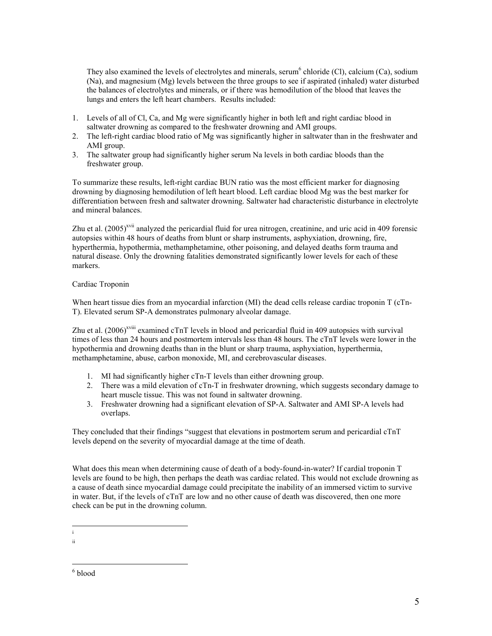They also examined the levels of electrolytes and minerals, serum<sup>6</sup> chloride (Cl), calcium (Ca), sodium (Na), and magnesium (Mg) levels between the three groups to see if aspirated (inhaled) water disturbed the balances of electrolytes and minerals, or if there was hemodilution of the blood that leaves the lungs and enters the left heart chambers. Results included:

- 1. Levels of all of Cl, Ca, and Mg were significantly higher in both left and right cardiac blood in saltwater drowning as compared to the freshwater drowning and AMI groups.
- 2. The left-right cardiac blood ratio of Mg was significantly higher in saltwater than in the freshwater and AMI group.
- 3. The saltwater group had significantly higher serum Na levels in both cardiac bloods than the freshwater group.

To summarize these results, left-right cardiac BUN ratio was the most efficient marker for diagnosing drowning by diagnosing hemodilution of left heart blood. Left cardiac blood Mg was the best marker for differentiation between fresh and saltwater drowning. Saltwater had characteristic disturbance in electrolyte and mineral balances.

Zhu et al.  $(2005)^{x}$ <sup>xii</sup> analyzed the pericardial fluid for urea nitrogen, creatinine, and uric acid in 409 forensic autopsies within 48 hours of deaths from blunt or sharp instruments, asphyxiation, drowning, fire, hyperthermia, hypothermia, methamphetamine, other poisoning, and delayed deaths form trauma and natural disease. Only the drowning fatalities demonstrated significantly lower levels for each of these markers.

# Cardiac Troponin

When heart tissue dies from an myocardial infarction (MI) the dead cells release cardiac troponin T (cTn-T). Elevated serum SP-A demonstrates pulmonary alveolar damage.

Zhu et al.  $(2006)^{x}$ <sup>xviii</sup> examined cTnT levels in blood and pericardial fluid in 409 autopsies with survival times of less than 24 hours and postmortem intervals less than 48 hours. The cTnT levels were lower in the hypothermia and drowning deaths than in the blunt or sharp trauma, asphyxiation, hyperthermia, methamphetamine, abuse, carbon monoxide, MI, and cerebrovascular diseases.

- 1. MI had significantly higher cTn-T levels than either drowning group.
- 2. There was a mild elevation of cTn-T in freshwater drowning, which suggests secondary damage to heart muscle tissue. This was not found in saltwater drowning.
- 3. Freshwater drowning had a significant elevation of SP-A. Saltwater and AMI SP-A levels had overlaps.

They concluded that their findings "suggest that elevations in postmortem serum and pericardial cTnT levels depend on the severity of myocardial damage at the time of death.

What does this mean when determining cause of death of a body-found-in-water? If cardial troponin T levels are found to be high, then perhaps the death was cardiac related. This would not exclude drowning as a cause of death since myocardial damage could precipitate the inability of an immersed victim to survive in water. But, if the levels of cTnT are low and no other cause of death was discovered, then one more check can be put in the drowning column.

 i

 ii

<sup>&</sup>lt;u>.</u> 6 blood